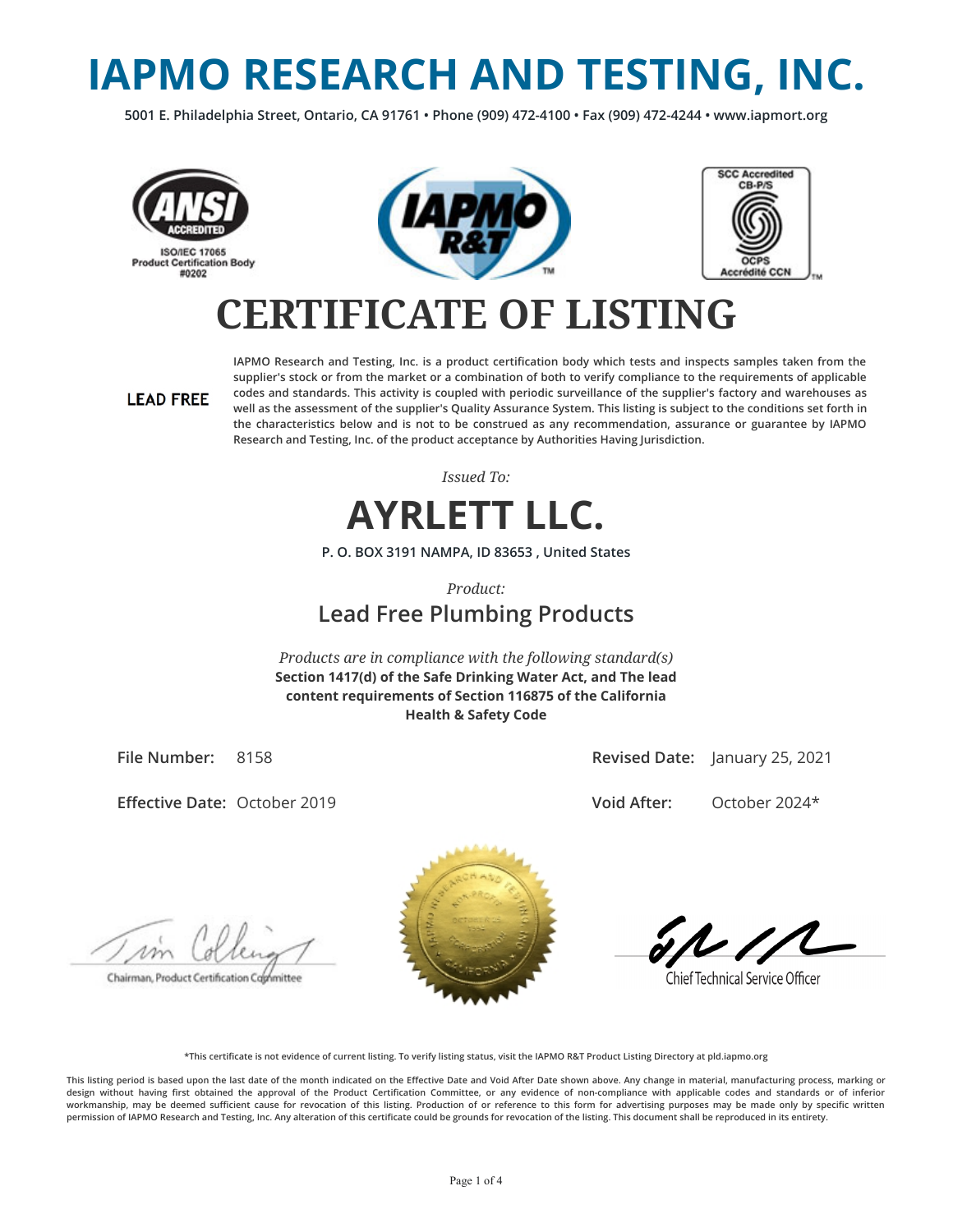# **IAPMO RESEARCH AND TESTING, INC.**

**5001 E. Philadelphia Street, Ontario, CA 91761 • Phone (909) 472-4100 • Fax (909) 472-4244 • www.iapmort.org**







## **CERTIFICATE OF LISTING**

#### **LEAD FREE**

**IAPMO Research and Testing, Inc. is a product certication body which tests and inspects samples taken from the supplier's stock or from the market or a combination of both to verify compliance to the requirements of applicable codes and standards. This activity is coupled with periodic surveillance of the supplier's factory and warehouses as well as the assessment of the supplier's Quality Assurance System. This listing is subject to the conditions set forth in the characteristics below and is not to be construed as any recommendation, assurance or guarantee by IAPMO Research and Testing, Inc. of the product acceptance by Authorities Having Jurisdiction.**

*Issued To:*



**P. O. BOX 3191 NAMPA, ID 83653 , United States**

*Product:*

### **Lead Free Plumbing Products**

*Products are in compliance with the following standard(s)* **Section 1417(d) of the Safe Drinking Water Act, and The lead content requirements of Section 116875 of the California Health & Safety Code**

**File Number:** 8158

**Effective Date: October 2019** 

**Revised Date:** January 25, 2021

**Void After:** October 2024\*

Chairman, Product Certification Cophmittee



**Chief Technical Service Officer** 

**\*This certicate is not evidence of current listing. To verify listing status, visit the IAPMO R&T Product Listing Directory at pld.iapmo.org**

This listing period is based upon the last date of the month indicated on the Effective Date and Void After Date shown above. Any change in material, manufacturing process, marking or design without having first obtained the approval of the Product Certification Committee, or any evidence of non-compliance with applicable codes and standards or of inferior workmanship, may be deemed sufficient cause for revocation of this listing. Production of or reference to this form for advertising purposes may be made only by specific written **permission of IAPMO Research and Testing, Inc. Any alteration of this certicate could be grounds for revocation of the listing. This document shall be reproduced in its entirety.**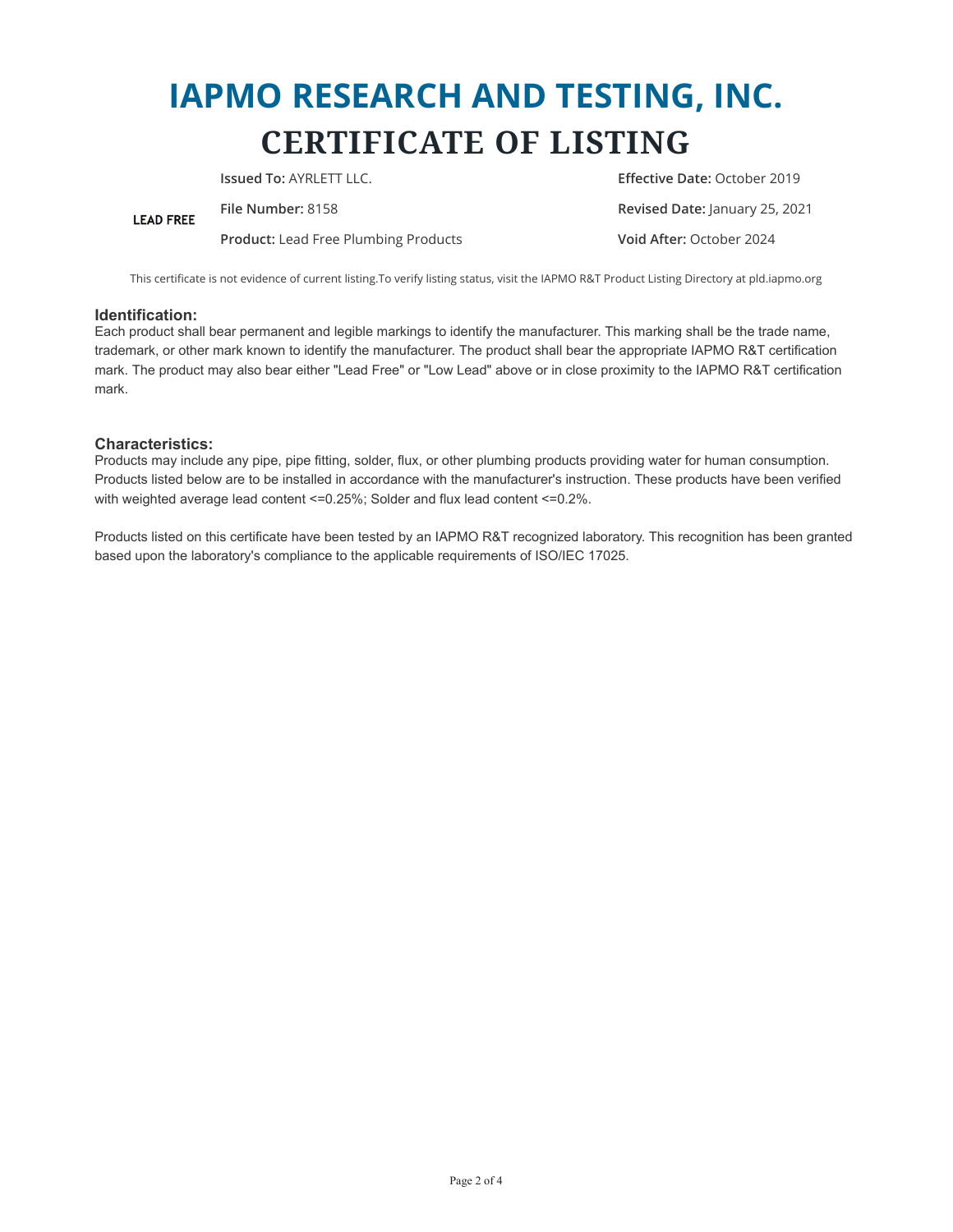## **IAPMO RESEARCH AND TESTING, INC. CERTIFICATE OF LISTING**

**Issued To:** AYRLETT LLC. **Effective Date:** October 2019 **File Number:** 8158 **Revised Date:** January 25, 2021 **LEAD FREE Product:** Lead Free Plumbing Products **Void After:** October 2024

This certificate is not evidence of current listing.To verify listing status, visit the IAPMO R&T Product Listing Directory at pld.iapmo.org

#### **Identification:**

Each product shall bear permanent and legible markings to identify the manufacturer. This marking shall be the trade name, trademark, or other mark known to identify the manufacturer. The product shall bear the appropriate IAPMO R&T certification mark. The product may also bear either "Lead Free" or "Low Lead" above or in close proximity to the IAPMO R&T certification mark.

#### **Characteristics:**

Products may include any pipe, pipe fitting, solder, flux, or other plumbing products providing water for human consumption. Products listed below are to be installed in accordance with the manufacturer's instruction. These products have been verified with weighted average lead content <=0.25%; Solder and flux lead content <=0.2%.

Products listed on this certificate have been tested by an IAPMO R&T recognized laboratory. This recognition has been granted based upon the laboratory's compliance to the applicable requirements of ISO/IEC 17025.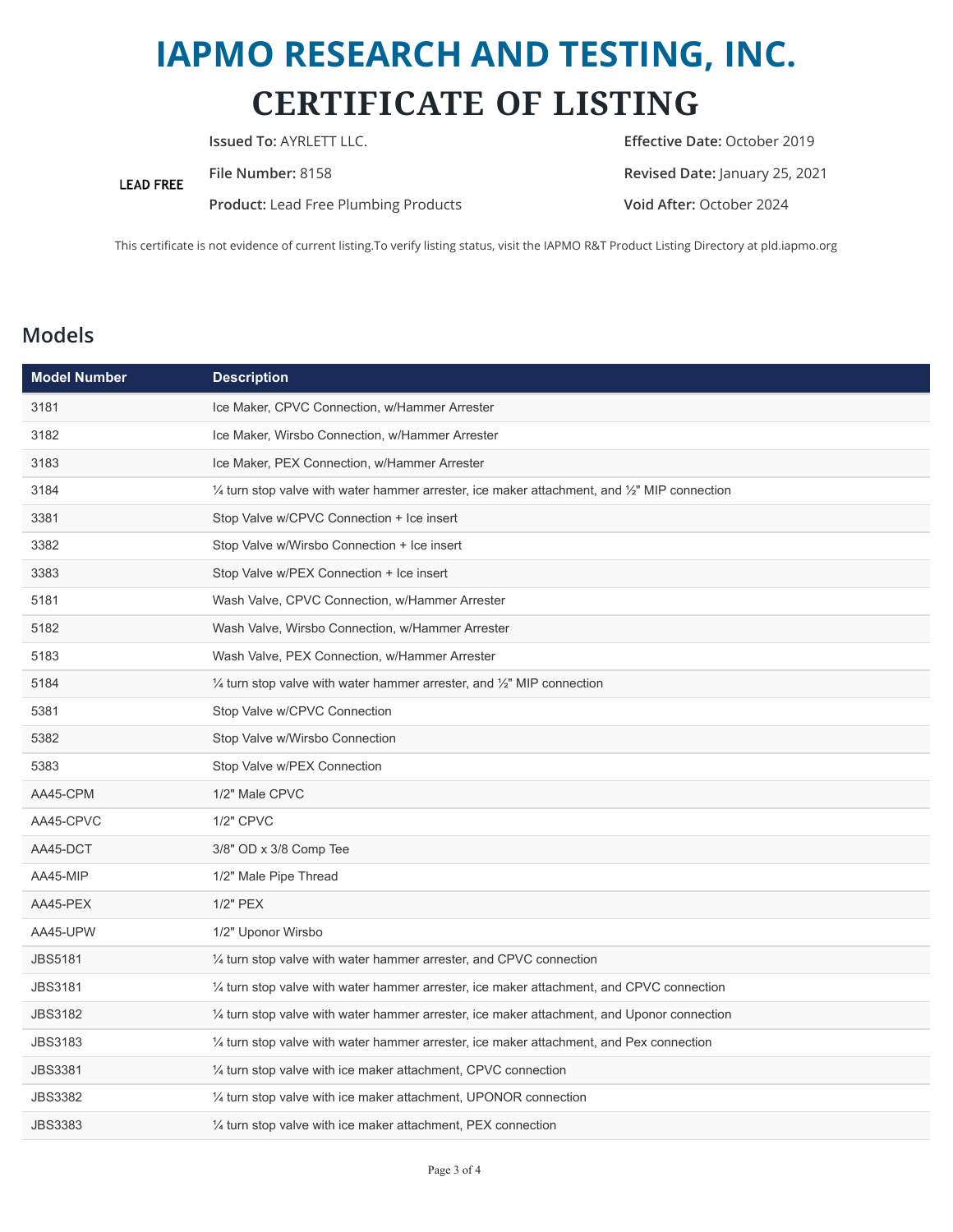## **IAPMO RESEARCH AND TESTING, INC. CERTIFICATE OF LISTING**

**LEAD FREE** 

**Product:** Lead Free Plumbing Products **Void After:** October 2024

**Issued To:** AYRLETT LLC. **Example 2019 Effective Date:** October 2019 **File Number:** 8158 **Revised Date:** January 25, 2021

This certificate is not evidence of current listing.To verify listing status, visit the IAPMO R&T Product Listing Directory at pld.iapmo.org

### **Models**

| <b>Model Number</b> | <b>Description</b>                                                                                                 |
|---------------------|--------------------------------------------------------------------------------------------------------------------|
| 3181                | Ice Maker, CPVC Connection, w/Hammer Arrester                                                                      |
| 3182                | Ice Maker, Wirsbo Connection, w/Hammer Arrester                                                                    |
| 3183                | Ice Maker, PEX Connection, w/Hammer Arrester                                                                       |
| 3184                | $\frac{1}{4}$ turn stop valve with water hammer arrester, ice maker attachment, and $\frac{1}{2}$ " MIP connection |
| 3381                | Stop Valve w/CPVC Connection + Ice insert                                                                          |
| 3382                | Stop Valve w/Wirsbo Connection + Ice insert                                                                        |
| 3383                | Stop Valve w/PEX Connection + Ice insert                                                                           |
| 5181                | Wash Valve, CPVC Connection, w/Hammer Arrester                                                                     |
| 5182                | Wash Valve, Wirsbo Connection, w/Hammer Arrester                                                                   |
| 5183                | Wash Valve, PEX Connection, w/Hammer Arrester                                                                      |
| 5184                | $\frac{1}{4}$ turn stop valve with water hammer arrester, and $\frac{1}{2}$ " MIP connection                       |
| 5381                | Stop Valve w/CPVC Connection                                                                                       |
| 5382                | Stop Valve w/Wirsbo Connection                                                                                     |
| 5383                | Stop Valve w/PEX Connection                                                                                        |
| AA45-CPM            | 1/2" Male CPVC                                                                                                     |
| AA45-CPVC           | 1/2" CPVC                                                                                                          |
| AA45-DCT            | 3/8" OD x 3/8 Comp Tee                                                                                             |
| AA45-MIP            | 1/2" Male Pipe Thread                                                                                              |
| AA45-PEX            | 1/2" PEX                                                                                                           |
| AA45-UPW            | 1/2" Uponor Wirsbo                                                                                                 |
| <b>JBS5181</b>      | $\frac{1}{4}$ turn stop valve with water hammer arrester, and CPVC connection                                      |
| <b>JBS3181</b>      | 1/4 turn stop valve with water hammer arrester, ice maker attachment, and CPVC connection                          |
| <b>JBS3182</b>      | $\frac{1}{4}$ turn stop valve with water hammer arrester, ice maker attachment, and Uponor connection              |
| <b>JBS3183</b>      | $\frac{1}{4}$ turn stop valve with water hammer arrester, ice maker attachment, and Pex connection                 |
| <b>JBS3381</b>      | 1/4 turn stop valve with ice maker attachment, CPVC connection                                                     |
| <b>JBS3382</b>      | $\frac{1}{4}$ turn stop valve with ice maker attachment, UPONOR connection                                         |
| <b>JBS3383</b>      | 1/4 turn stop valve with ice maker attachment, PEX connection                                                      |